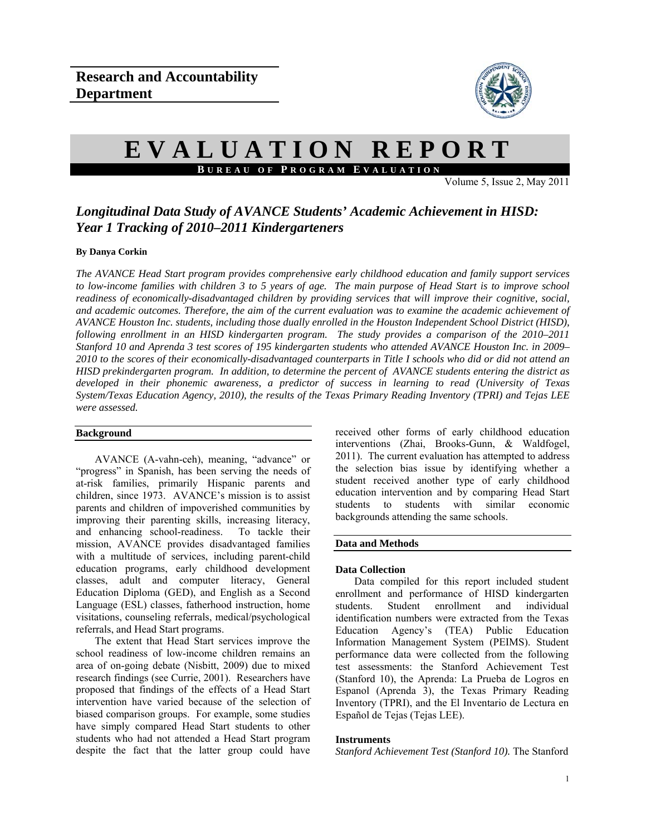

# **EVALUATION REPORT B UREAU OF P ROGRAM E VALUATION**

Volume 5, Issue  $2$ , May 2011

# *Longitudinal Data Study of AVANCE Students' Academic Achievement in HISD: Year 1 Tracking of 2010–2011 Kindergarteners*

## **By Danya Corkin**

*The AVANCE Head Start program provides comprehensive early childhood education and family support services to low-income families with children 3 to 5 years of age. The main purpose of Head Start is to improve school readiness of economically-disadvantaged children by providing services that will improve their cognitive, social, and academic outcomes. Therefore, the aim of the current evaluation was to examine the academic achievement of AVANCE Houston Inc. students, including those dually enrolled in the Houston Independent School District (HISD), following enrollment in an HISD kindergarten program. The study provides a comparison of the 2010–2011 Stanford 10 and Aprenda 3 test scores of 195 kindergarten students who attended AVANCE Houston Inc. in 2009– 2010 to the scores of their economically-disadvantaged counterparts in Title I schools who did or did not attend an HISD prekindergarten program. In addition, to determine the percent of AVANCE students entering the district as developed in their phonemic awareness, a predictor of success in learning to read (University of Texas System/Texas Education Agency, 2010), the results of the Texas Primary Reading Inventory (TPRI) and Tejas LEE were assessed.* 

### **Background**

AVANCE (A-vahn-ceh), meaning, "advance" or "progress" in Spanish, has been serving the needs of at-risk families, primarily Hispanic parents and children, since 1973. AVANCE's mission is to assist parents and children of impoverished communities by improving their parenting skills, increasing literacy, and enhancing school-readiness. To tackle their mission, AVANCE provides disadvantaged families with a multitude of services, including parent-child education programs, early childhood development classes, adult and computer literacy, General Education Diploma (GED), and English as a Second Language (ESL) classes, fatherhood instruction, home visitations, counseling referrals, medical/psychological referrals, and Head Start programs.

The extent that Head Start services improve the school readiness of low-income children remains an area of on-going debate (Nisbitt, 2009) due to mixed research findings (see Currie, 2001). Researchers have proposed that findings of the effects of a Head Start intervention have varied because of the selection of biased comparison groups. For example, some studies have simply compared Head Start students to other students who had not attended a Head Start program despite the fact that the latter group could have

received other forms of early childhood education interventions (Zhai, Brooks-Gunn, & Waldfogel, 2011). The current evaluation has attempted to address the selection bias issue by identifying whether a student received another type of early childhood education intervention and by comparing Head Start students to students with similar economic backgrounds attending the same schools.

# **Data and Methods**

### **Data Collection**

Data compiled for this report included student enrollment and performance of HISD kindergarten<br>students. Student enrollment and individual Student enrollment and individual identification numbers were extracted from the Texas Education Agency's (TEA) Public Education Information Management System (PEIMS). Student performance data were collected from the following test assessments: the Stanford Achievement Test (Stanford 10), the Aprenda: La Prueba de Logros en Espanol (Aprenda 3), the Texas Primary Reading Inventory (TPRI), and the El Inventario de Lectura en Español de Tejas (Tejas LEE).

### **Instruments**

*Stanford Achievement Test (Stanford 10).* The Stanford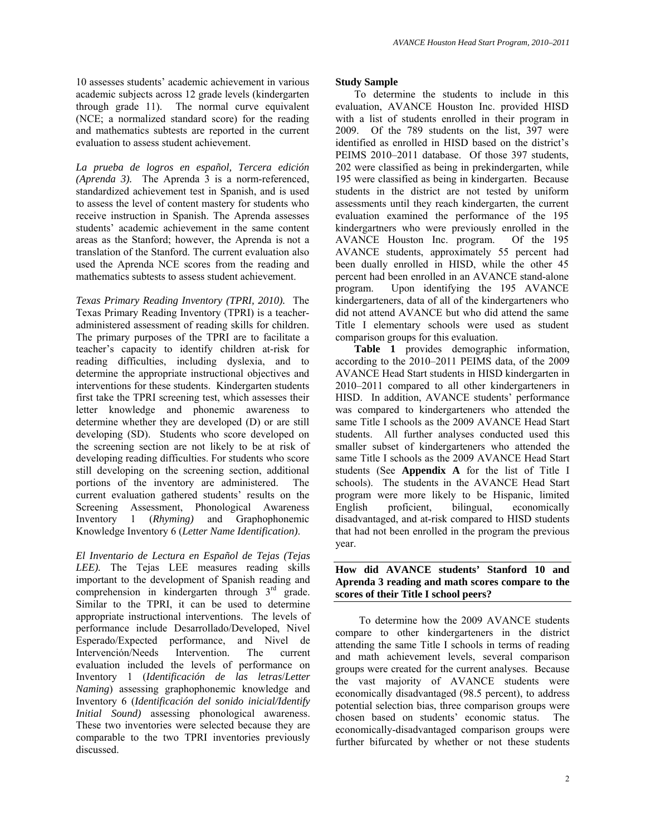*La prueba de logros en español, Tercera edición (Aprenda 3).*The Aprenda 3 is a norm-referenced, standardized achievement test in Spanish, and is used to assess the level of content mastery for students who receive instruction in Spanish. The Aprenda assesses students' academic achievement in the same content areas as the Stanford; however, the Aprenda is not a translation of the Stanford. The current evaluation also used the Aprenda NCE scores from the reading and mathematics subtests to assess student achievement.

and mathematics subtests are reported in the current

evaluation to assess student achievement.

*Texas Primary Reading Inventory (TPRI, 2010).*The Texas Primary Reading Inventory (TPRI) is a teacheradministered assessment of reading skills for children. The primary purposes of the TPRI are to facilitate a teacher's capacity to identify children at-risk for reading difficulties, including dyslexia, and to determine the appropriate instructional objectives and interventions for these students. Kindergarten students first take the TPRI screening test, which assesses their letter knowledge and phonemic awareness to determine whether they are developed (D) or are still developing (SD). Students who score developed on the screening section are not likely to be at risk of developing reading difficulties. For students who score still developing on the screening section, additional portions of the inventory are administered. The current evaluation gathered students' results on the Screening Assessment, Phonological Awareness Inventory 1 (*Rhyming)* and Graphophonemic Knowledge Inventory 6 (*Letter Name Identification)*.

*El Inventario de Lectura en Español de Tejas (Tejas LEE).* The Tejas LEE measures reading skills important to the development of Spanish reading and comprehension in kindergarten through 3<sup>rd</sup> grade. Similar to the TPRI, it can be used to determine appropriate instructional interventions. The levels of performance include Desarrollado/Developed, Nivel Esperado/Expected performance, and Nivel de Intervención/Needs Intervention. The current evaluation included the levels of performance on Inventory 1 (*Identificación de las letras*/*Letter Naming*) assessing graphophonemic knowledge and Inventory 6 (*Identificación del sonido inicial/Identify Initial Sound)* assessing phonological awareness. These two inventories were selected because they are comparable to the two TPRI inventories previously discussed.

## **Study Sample**

To determine the students to include in this evaluation, AVANCE Houston Inc. provided HISD with a list of students enrolled in their program in 2009. Of the 789 students on the list, 397 were identified as enrolled in HISD based on the district's PEIMS 2010–2011 database. Of those 397 students, 202 were classified as being in prekindergarten, while 195 were classified as being in kindergarten. Because students in the district are not tested by uniform assessments until they reach kindergarten, the current evaluation examined the performance of the 195 kindergartners who were previously enrolled in the AVANCE Houston Inc. program. Of the 195 AVANCE students, approximately 55 percent had been dually enrolled in HISD, while the other 45 percent had been enrolled in an AVANCE stand-alone program. Upon identifying the 195 AVANCE kindergarteners, data of all of the kindergarteners who did not attend AVANCE but who did attend the same Title I elementary schools were used as student comparison groups for this evaluation.

**Table 1** provides demographic information, according to the 2010–2011 PEIMS data, of the 2009 AVANCE Head Start students in HISD kindergarten in 2010–2011 compared to all other kindergarteners in HISD. In addition, AVANCE students' performance was compared to kindergarteners who attended the same Title I schools as the 2009 AVANCE Head Start students. All further analyses conducted used this smaller subset of kindergarteners who attended the same Title I schools as the 2009 AVANCE Head Start students (See **Appendix A** for the list of Title I schools). The students in the AVANCE Head Start program were more likely to be Hispanic, limited English proficient, bilingual, economically disadvantaged, and at-risk compared to HISD students that had not been enrolled in the program the previous year.

# **How did AVANCE students' Stanford 10 and Aprenda 3 reading and math scores compare to the scores of their Title I school peers?**

To determine how the 2009 AVANCE students compare to other kindergarteners in the district attending the same Title I schools in terms of reading and math achievement levels, several comparison groups were created for the current analyses. Because the vast majority of AVANCE students were economically disadvantaged (98.5 percent), to address potential selection bias, three comparison groups were chosen based on students' economic status. The economically-disadvantaged comparison groups were further bifurcated by whether or not these students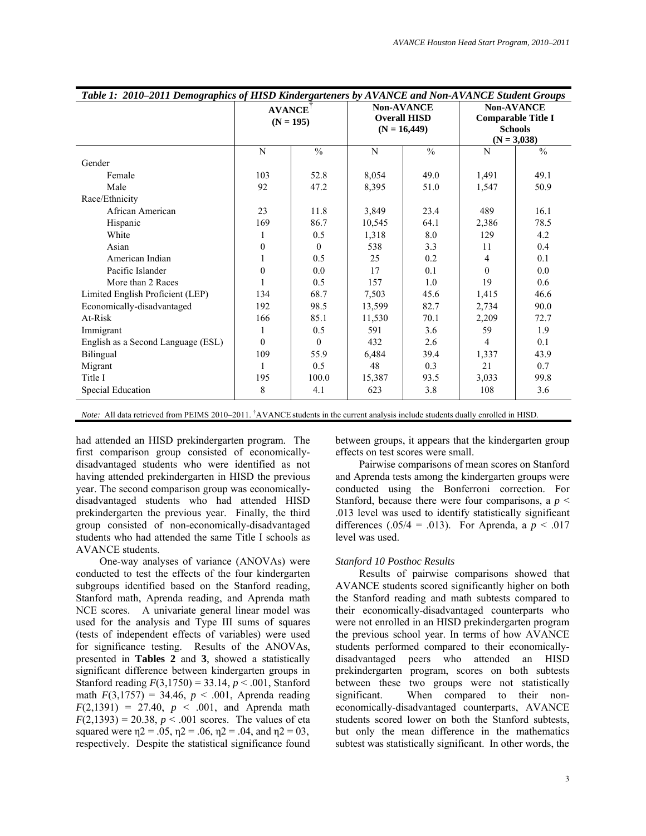| Table 1: 2010–2011 Demographics of HISD Kindergarteners by AVANCE and Non-AVANCE Student Groups |               |               |        |                     |                                 |                           |  |
|-------------------------------------------------------------------------------------------------|---------------|---------------|--------|---------------------|---------------------------------|---------------------------|--|
|                                                                                                 | <b>AVANCE</b> |               |        | <b>Non-AVANCE</b>   |                                 | <b>Non-AVANCE</b>         |  |
|                                                                                                 | $(N = 195)$   |               |        | <b>Overall HISD</b> |                                 | <b>Comparable Title I</b> |  |
|                                                                                                 |               |               |        | $(N = 16,449)$      | <b>Schools</b><br>$(N = 3,038)$ |                           |  |
|                                                                                                 |               |               |        |                     |                                 |                           |  |
|                                                                                                 | N             | $\frac{0}{0}$ | N      | $\frac{0}{0}$       | N                               | $\frac{0}{0}$             |  |
| Gender                                                                                          |               |               |        |                     |                                 |                           |  |
| Female                                                                                          | 103           | 52.8          | 8,054  | 49.0                | 1,491                           | 49.1                      |  |
| Male                                                                                            | 92            | 47.2          | 8,395  | 51.0                | 1,547                           | 50.9                      |  |
| Race/Ethnicity                                                                                  |               |               |        |                     |                                 |                           |  |
| African American                                                                                | 23            | 11.8          | 3,849  | 23.4                | 489                             | 16.1                      |  |
| Hispanic                                                                                        | 169           | 86.7          | 10,545 | 64.1                | 2,386                           | 78.5                      |  |
| White                                                                                           |               | 0.5           | 1,318  | 8.0                 | 129                             | 4.2                       |  |
| Asian                                                                                           | $\theta$      | $\theta$      | 538    | 3.3                 | 11                              | 0.4                       |  |
| American Indian                                                                                 |               | 0.5           | 25     | 0.2                 | 4                               | 0.1                       |  |
| Pacific Islander                                                                                | $\mathbf{0}$  | 0.0           | 17     | 0.1                 | $\Omega$                        | 0.0                       |  |
| More than 2 Races                                                                               |               | 0.5           | 157    | 1.0                 | 19                              | 0.6                       |  |
| Limited English Proficient (LEP)                                                                | 134           | 68.7          | 7.503  | 45.6                | 1,415                           | 46.6                      |  |
| Economically-disadvantaged                                                                      | 192           | 98.5          | 13,599 | 82.7                | 2,734                           | 90.0                      |  |
| At-Risk                                                                                         | 166           | 85.1          | 11,530 | 70.1                | 2,209                           | 72.7                      |  |
| Immigrant                                                                                       | 1             | 0.5           | 591    | 3.6                 | 59                              | 1.9                       |  |
| English as a Second Language (ESL)                                                              | $\theta$      | $\theta$      | 432    | 2.6                 | $\overline{4}$                  | 0.1                       |  |
| Bilingual                                                                                       | 109           | 55.9          | 6,484  | 39.4                | 1,337                           | 43.9                      |  |
| Migrant                                                                                         |               | 0.5           | 48     | 0.3                 | 21                              | 0.7                       |  |
| Title I                                                                                         | 195           | 100.0         | 15,387 | 93.5                | 3,033                           | 99.8                      |  |
| Special Education                                                                               | 8             | 4.1           | 623    | 3.8                 | 108                             | 3.6                       |  |

*Note:* All data retrieved from PEIMS 2010–2011. † AVANCE students in the current analysis include students dually enrolled in HISD.

had attended an HISD prekindergarten program. The first comparison group consisted of economicallydisadvantaged students who were identified as not having attended prekindergarten in HISD the previous year. The second comparison group was economicallydisadvantaged students who had attended HISD prekindergarten the previous year. Finally, the third group consisted of non-economically-disadvantaged students who had attended the same Title I schools as AVANCE students.

One-way analyses of variance (ANOVAs) were conducted to test the effects of the four kindergarten subgroups identified based on the Stanford reading, Stanford math, Aprenda reading, and Aprenda math NCE scores. A univariate general linear model was used for the analysis and Type III sums of squares (tests of independent effects of variables) were used for significance testing. Results of the ANOVAs, presented in **Tables 2** and **3**, showed a statistically significant difference between kindergarten groups in Stanford reading *F*(3,1750) = 33.14, *p* < .001, Stanford math  $F(3,1757) = 34.46$ ,  $p < .001$ , Aprenda reading  $F(2,1391) = 27.40, p \le .001,$  and Aprenda math  $F(2,1393) = 20.38, p < .001$  scores. The values of eta squared were  $n_1 = 0.05$ ,  $n_2 = 0.06$ ,  $n_3 = 0.04$ , and  $n_1 = 0.03$ , respectively. Despite the statistical significance found

between groups, it appears that the kindergarten group effects on test scores were small.

Pairwise comparisons of mean scores on Stanford and Aprenda tests among the kindergarten groups were conducted using the Bonferroni correction. For Stanford, because there were four comparisons, a  $p \leq$ .013 level was used to identify statistically significant differences  $(.05/4 = .013)$ . For Aprenda, a  $p \le .017$ level was used.

### *Stanford 10 Posthoc Results*

Results of pairwise comparisons showed that AVANCE students scored significantly higher on both the Stanford reading and math subtests compared to their economically-disadvantaged counterparts who were not enrolled in an HISD prekindergarten program the previous school year. In terms of how AVANCE students performed compared to their economicallydisadvantaged peers who attended an HISD prekindergarten program, scores on both subtests between these two groups were not statistically significant. When compared to their noneconomically-disadvantaged counterparts, AVANCE students scored lower on both the Stanford subtests, but only the mean difference in the mathematics subtest was statistically significant. In other words, the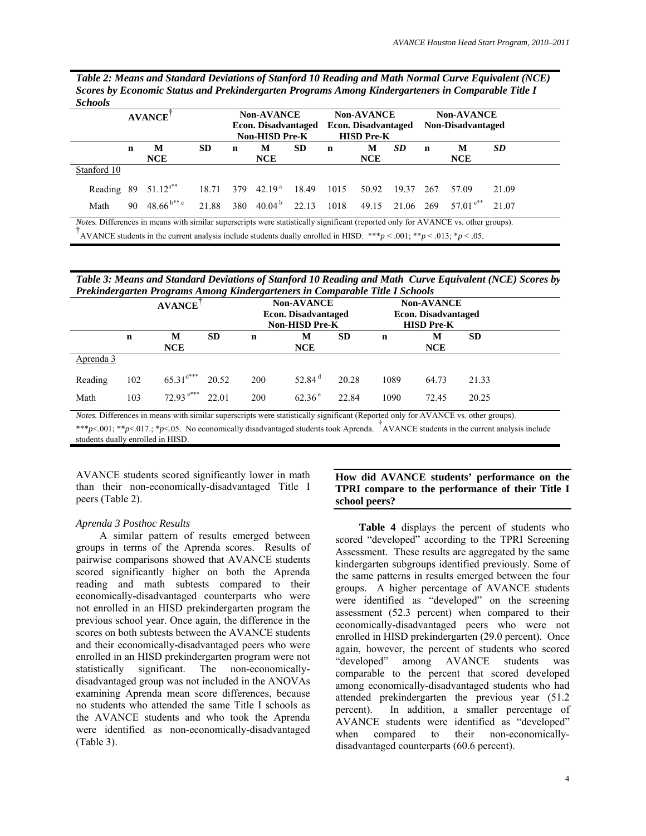| Table 2: Means and Standard Deviations of Stanford 10 Reading and Math Normal Curve Equivalent (NCE) |
|------------------------------------------------------------------------------------------------------|
| Scores by Economic Status and Prekindergarten Programs Among Kindergarteners in Comparable Title I   |
| <b>Schools</b>                                                                                       |

|             | <b>Non-AVANCE</b><br><b>AVANCE</b><br><b>Econ. Disadvantaged</b><br>Non-HISD Pre-K |                          |           | <b>Non-AVANCE</b><br><b>Econ. Disadvantaged</b><br><b>HISD Pre-K</b> |                              |           | <b>Non-AVANCE</b><br>Non-Disadvantaged |                 |       |     |                 |           |
|-------------|------------------------------------------------------------------------------------|--------------------------|-----------|----------------------------------------------------------------------|------------------------------|-----------|----------------------------------------|-----------------|-------|-----|-----------------|-----------|
|             | n                                                                                  | М<br><b>NCE</b>          | <b>SD</b> | n                                                                    | M<br><b>NCE</b>              | <b>SD</b> | n                                      | М<br>NCE        | SD    | n   | M<br><b>NCE</b> | <b>SD</b> |
| Stanford 10 |                                                                                    |                          |           |                                                                      |                              |           |                                        |                 |       |     |                 |           |
|             |                                                                                    | Reading 89 $51.12^{a**}$ | 18.71     |                                                                      | 379 42.19 <sup>a</sup>       | 18.49     | 1015                                   | 50.92           | 19.37 | 267 | 57.09           | 21.09     |
| Math        | 90                                                                                 | $48.66^{b**c}$           | 21.88     |                                                                      | 380 40.04 <sup>b</sup> 22.13 |           | 1018                                   | 49.15 21.06 269 |       |     | 57.01 $c^{**}$  | 21.07     |

*Table 3: Means and Standard Deviations of Stanford 10 Reading and Math Curve Equivalent (NCE) Scores by Prekindergarten Programs Among Kindergarteners in Comparable Title I Schools* 

|           |             | <b>AVANCE</b>           |           | $\cdot$<br>ິ<br><b>Non-AVANCE</b><br><b>Econ. Disadvantaged</b><br><b>Non-HISD Pre-K</b> |                  |           | <b>Non-AVANCE</b><br><b>Econ. Disadvantaged</b><br><b>HISD Pre-K</b> |                 |           |
|-----------|-------------|-------------------------|-----------|------------------------------------------------------------------------------------------|------------------|-----------|----------------------------------------------------------------------|-----------------|-----------|
|           | $\mathbf n$ | М<br>NCE                | <b>SD</b> | n                                                                                        | М<br><b>NCE</b>  | <b>SD</b> | $\mathbf n$                                                          | M<br><b>NCE</b> | <b>SD</b> |
| Aprenda 3 |             |                         |           |                                                                                          |                  |           |                                                                      |                 |           |
| Reading   | 102         | $65.31$ <sup>d***</sup> | 20.52     | 200                                                                                      | 52.84 $^{\rm d}$ | 20.28     | 1089                                                                 | 64.73           | 21.33     |
| Math      | 103         | $72.93$ <sup>e***</sup> | 22.01     | 200                                                                                      | $62.36^{\circ}$  | 22.84     | 1090                                                                 | 72.45           | 20.25     |

*Notes.* Differences in means with similar superscripts were statistically significant (Reported only for AVANCE vs. other groups).

\*\*\**p*<.001; \*\**p*<.017.; \**p*<.05. No economically disadvantaged students took Aprenda. <sup>†</sup>AVANCE students in the current analysis include students dually enrolled in HISD.

AVANCE students scored significantly lower in math than their non-economically-disadvantaged Title I peers (Table 2).

# *Aprenda 3 Posthoc Results*

A similar pattern of results emerged between groups in terms of the Aprenda scores. Results of pairwise comparisons showed that AVANCE students scored significantly higher on both the Aprenda reading and math subtests compared to their economically-disadvantaged counterparts who were not enrolled in an HISD prekindergarten program the previous school year. Once again, the difference in the scores on both subtests between the AVANCE students and their economically-disadvantaged peers who were enrolled in an HISD prekindergarten program were not statistically significant. The non-economicallydisadvantaged group was not included in the ANOVAs examining Aprenda mean score differences, because no students who attended the same Title I schools as the AVANCE students and who took the Aprenda were identified as non-economically-disadvantaged (Table 3).

# **How did AVANCE students' performance on the TPRI compare to the performance of their Title I school peers?**

**Table 4** displays the percent of students who scored "developed" according to the TPRI Screening Assessment. These results are aggregated by the same kindergarten subgroups identified previously. Some of the same patterns in results emerged between the four groups. A higher percentage of AVANCE students were identified as "developed" on the screening assessment (52.3 percent) when compared to their economically-disadvantaged peers who were not enrolled in HISD prekindergarten (29.0 percent). Once again, however, the percent of students who scored "developed" among AVANCE students was comparable to the percent that scored developed among economically-disadvantaged students who had attended prekindergarten the previous year (51.2 percent). In addition, a smaller percentage of AVANCE students were identified as "developed" when compared to their non-economicallydisadvantaged counterparts (60.6 percent).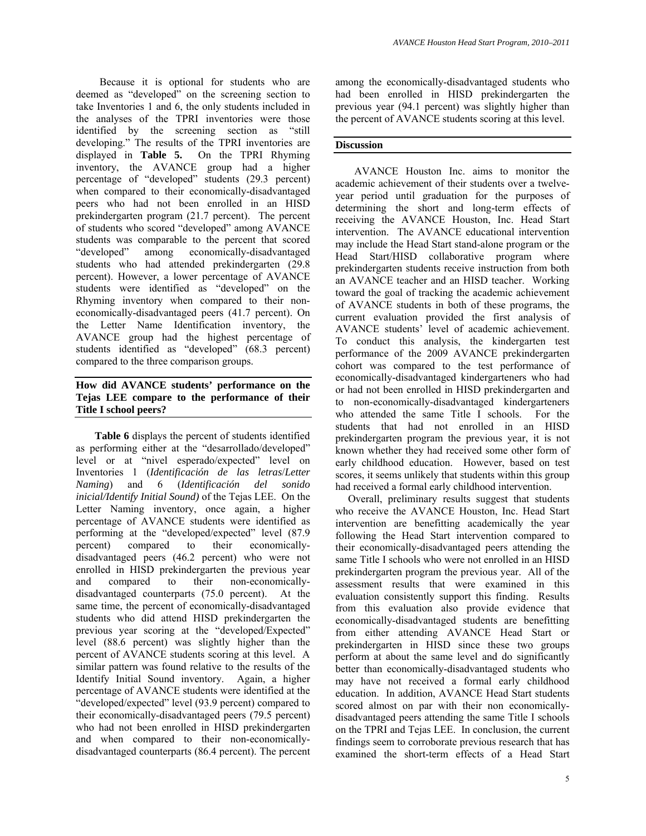Because it is optional for students who are deemed as "developed" on the screening section to take Inventories 1 and 6, the only students included in the analyses of the TPRI inventories were those identified by the screening section as "still developing." The results of the TPRI inventories are displayed in **Table 5.** On the TPRI Rhyming inventory, the AVANCE group had a higher percentage of "developed" students (29.3 percent) when compared to their economically-disadvantaged peers who had not been enrolled in an HISD prekindergarten program (21.7 percent). The percent of students who scored "developed" among AVANCE students was comparable to the percent that scored<br>
"developed" among economically-disadvantaged among economically-disadvantaged students who had attended prekindergarten (29.8 percent). However, a lower percentage of AVANCE students were identified as "developed" on the Rhyming inventory when compared to their noneconomically-disadvantaged peers (41.7 percent). On the Letter Name Identification inventory, the AVANCE group had the highest percentage of students identified as "developed" (68.3 percent) compared to the three comparison groups.

# **How did AVANCE students' performance on the Tejas LEE compare to the performance of their Title I school peers?**

**Table 6** displays the percent of students identified as performing either at the "desarrollado/developed" level or at "nivel esperado/expected" level on Inventories 1 (*Identificación de las letras*/*Letter Naming*) and 6 (*Identificación del sonido inicial/Identify Initial Sound)* of the Tejas LEE. On the Letter Naming inventory, once again, a higher percentage of AVANCE students were identified as performing at the "developed/expected" level (87.9 percent) compared to their economicallydisadvantaged peers (46.2 percent) who were not enrolled in HISD prekindergarten the previous year and compared to their non-economicallydisadvantaged counterparts (75.0 percent). At the same time, the percent of economically-disadvantaged students who did attend HISD prekindergarten the previous year scoring at the "developed/Expected" level (88.6 percent) was slightly higher than the percent of AVANCE students scoring at this level. A similar pattern was found relative to the results of the Identify Initial Sound inventory. Again, a higher percentage of AVANCE students were identified at the "developed/expected" level (93.9 percent) compared to their economically-disadvantaged peers (79.5 percent) who had not been enrolled in HISD prekindergarten and when compared to their non-economicallydisadvantaged counterparts (86.4 percent). The percent

among the economically-disadvantaged students who had been enrolled in HISD prekindergarten the previous year (94.1 percent) was slightly higher than the percent of AVANCE students scoring at this level.

### **Discussion**

AVANCE Houston Inc. aims to monitor the academic achievement of their students over a twelveyear period until graduation for the purposes of determining the short and long-term effects of receiving the AVANCE Houston, Inc. Head Start intervention. The AVANCE educational intervention may include the Head Start stand-alone program or the Head Start/HISD collaborative program where prekindergarten students receive instruction from both an AVANCE teacher and an HISD teacher. Working toward the goal of tracking the academic achievement of AVANCE students in both of these programs, the current evaluation provided the first analysis of AVANCE students' level of academic achievement. To conduct this analysis, the kindergarten test performance of the 2009 AVANCE prekindergarten cohort was compared to the test performance of economically-disadvantaged kindergarteners who had or had not been enrolled in HISD prekindergarten and to non-economically-disadvantaged kindergarteners who attended the same Title I schools. For the students that had not enrolled in an HISD prekindergarten program the previous year, it is not known whether they had received some other form of early childhood education. However, based on test scores, it seems unlikely that students within this group had received a formal early childhood intervention.

Overall, preliminary results suggest that students who receive the AVANCE Houston, Inc. Head Start intervention are benefitting academically the year following the Head Start intervention compared to their economically-disadvantaged peers attending the same Title I schools who were not enrolled in an HISD prekindergarten program the previous year. All of the assessment results that were examined in this evaluation consistently support this finding. Results from this evaluation also provide evidence that economically-disadvantaged students are benefitting from either attending AVANCE Head Start or prekindergarten in HISD since these two groups perform at about the same level and do significantly better than economically-disadvantaged students who may have not received a formal early childhood education. In addition, AVANCE Head Start students scored almost on par with their non economicallydisadvantaged peers attending the same Title I schools on the TPRI and Tejas LEE. In conclusion, the current findings seem to corroborate previous research that has examined the short-term effects of a Head Start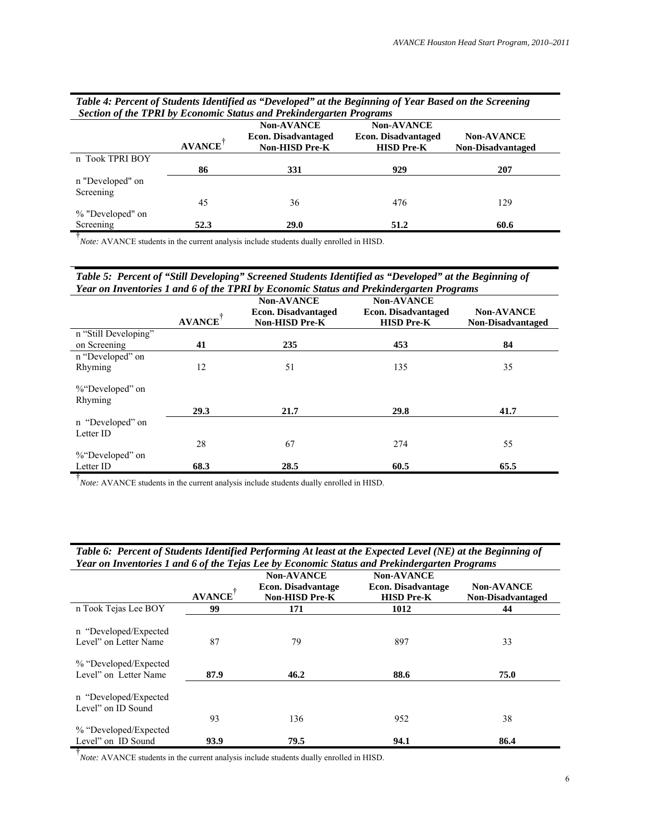| Table 4: Fercent of Students Identified as Developed at the Beginning of Tear Based on the Screening<br>Section of the TPRI by Economic Status and Prekindergarten Programs |               |                                                                   |                                                                      |                                               |  |  |  |
|-----------------------------------------------------------------------------------------------------------------------------------------------------------------------------|---------------|-------------------------------------------------------------------|----------------------------------------------------------------------|-----------------------------------------------|--|--|--|
|                                                                                                                                                                             | <b>AVANCE</b> | <b>Non-AVANCE</b><br><b>Econ. Disadvantaged</b><br>Non-HISD Pre-K | <b>Non-AVANCE</b><br><b>Econ. Disadvantaged</b><br><b>HISD Pre-K</b> | <b>Non-AVANCE</b><br><b>Non-Disadvantaged</b> |  |  |  |
| n Took TPRI BOY                                                                                                                                                             | 86            | 331                                                               | 929                                                                  | 207                                           |  |  |  |
| n "Developed" on<br>Screening                                                                                                                                               |               |                                                                   |                                                                      |                                               |  |  |  |
| % "Developed" on                                                                                                                                                            | 45            | 36                                                                | 476                                                                  | 129                                           |  |  |  |
| Screening                                                                                                                                                                   | 52.3          | 29.0                                                              | 51.2                                                                 | 60.6                                          |  |  |  |

*Table 4: Percent of Students Identified as "Developed" at the Beginning of Year Based on the Screening* 

<sup>†</sup><br>*Note:* AVANCE students in the current analysis include students dually enrolled in HISD.

| Table 5: Percent of "Still Developing" Screened Students Identified as "Developed" at the Beginning of |
|--------------------------------------------------------------------------------------------------------|
| Year on Inventories 1 and 6 of the TPRI by Economic Status and Prekindergarten Programs                |

|                            |               | <b>Non-AVANCE</b>                                   | <b>Non-AVANCE</b>                               |                                               |
|----------------------------|---------------|-----------------------------------------------------|-------------------------------------------------|-----------------------------------------------|
|                            | <b>AVANCE</b> | <b>Econ. Disadvantaged</b><br><b>Non-HISD Pre-K</b> | <b>Econ. Disadvantaged</b><br><b>HISD Pre-K</b> | <b>Non-AVANCE</b><br><b>Non-Disadvantaged</b> |
| n "Still Developing"       |               |                                                     |                                                 |                                               |
| on Screening               | 41            | 235                                                 | 453                                             | 84                                            |
| n "Developed" on           |               |                                                     |                                                 |                                               |
| Rhyming                    | 12            | 51                                                  | 135                                             | 35                                            |
| %"Developed" on<br>Rhyming |               |                                                     |                                                 |                                               |
|                            | 29.3          | 21.7                                                | 29.8                                            | 41.7                                          |
| n "Developed" on           |               |                                                     |                                                 |                                               |
| Letter ID                  |               |                                                     |                                                 |                                               |
|                            | 28            | 67                                                  | 274                                             | 55                                            |
| %"Developed" on            |               |                                                     |                                                 |                                               |
| Letter ID                  | 68.3          | 28.5                                                | 60.5                                            | 65.5                                          |

<sup>†</sup><br>*Note*: AVANCE students in the current analysis include students dually enrolled in HISD.

| Table 6: Percent of Students Identified Performing At least at the Expected Level (NE) at the Beginning of |
|------------------------------------------------------------------------------------------------------------|
| Year on Inventories 1 and 6 of the Tejas Lee by Economic Status and Prekindergarten Programs               |

|                                             |               | <b>Non-AVANCE</b>         | <b>Non-AVANCE</b>         |                          |
|---------------------------------------------|---------------|---------------------------|---------------------------|--------------------------|
|                                             |               | <b>Econ. Disadvantage</b> | <b>Econ. Disadvantage</b> | <b>Non-AVANCE</b>        |
|                                             | <b>AVANCE</b> | <b>Non-HISD Pre-K</b>     | <b>HISD Pre-K</b>         | <b>Non-Disadvantaged</b> |
| n Took Tejas Lee BOY                        | 99            | 171                       | 1012                      | 44                       |
| n "Developed/Expected"                      |               |                           |                           |                          |
| Level" on Letter Name                       | 87            | 79                        | 897                       | 33                       |
| % "Developed/Expected"                      |               |                           |                           |                          |
| Level" on Letter Name                       | 87.9          | 46.2                      | 88.6                      | 75.0                     |
| n "Developed/Expected<br>Level" on ID Sound |               |                           |                           |                          |
|                                             | 93            | 136                       | 952                       | 38                       |
| % "Developed/Expected"                      |               |                           |                           |                          |
| Level" on ID Sound                          | 93.9          | 79.5                      | 94.1                      | 86.4                     |

<sup>†</sup><br>*Note*: AVANCE students in the current analysis include students dually enrolled in HISD.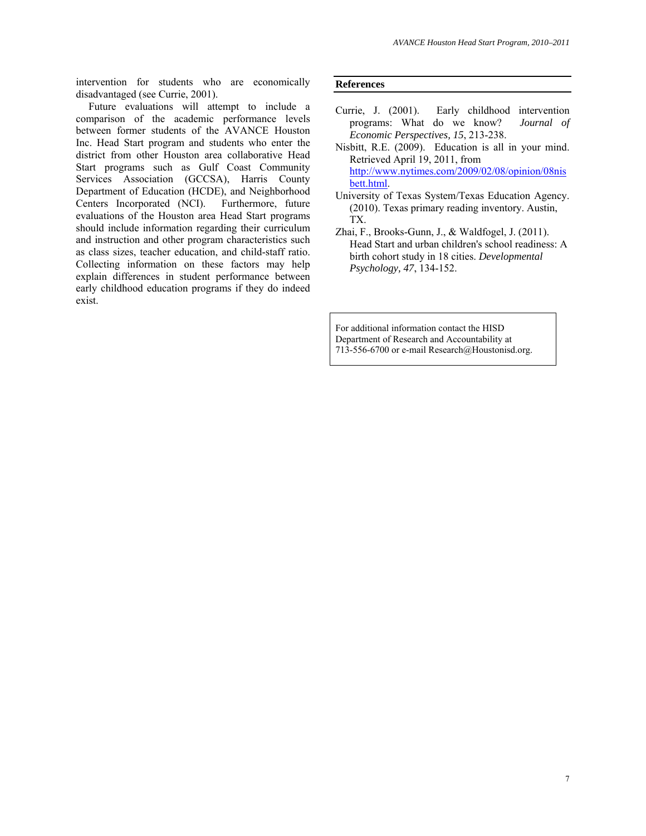intervention for students who are economically disadvantaged (see Currie, 2001).

Future evaluations will attempt to include a comparison of the academic performance levels between former students of the AVANCE Houston Inc. Head Start program and students who enter the district from other Houston area collaborative Head Start programs such as Gulf Coast Community Services Association (GCCSA), Harris County Department of Education (HCDE), and Neighborhood Centers Incorporated (NCI). Furthermore, future evaluations of the Houston area Head Start programs should include information regarding their curriculum and instruction and other program characteristics such as class sizes, teacher education, and child-staff ratio. Collecting information on these factors may help explain differences in student performance between early childhood education programs if they do indeed exist.

#### **References**

- Currie, J. (2001). Early childhood intervention programs: What do we know? *Journal of Economic Perspectives, 15*, 213-238.
- Nisbitt, R.E. (2009). Education is all in your mind. Retrieved April 19, 2011, from http://www.nytimes.com/2009/02/08/opinion/08nis bett.html.
- University of Texas System/Texas Education Agency. (2010). Texas primary reading inventory. Austin, TX.
- Zhai, F., Brooks-Gunn, J., & Waldfogel, J. (2011). Head Start and urban children's school readiness: A birth cohort study in 18 cities. *Developmental Psychology, 47*, 134-152.

For additional information contact the HISD Department of Research and Accountability at 713-556-6700 or e-mail Research@Houstonisd.org.